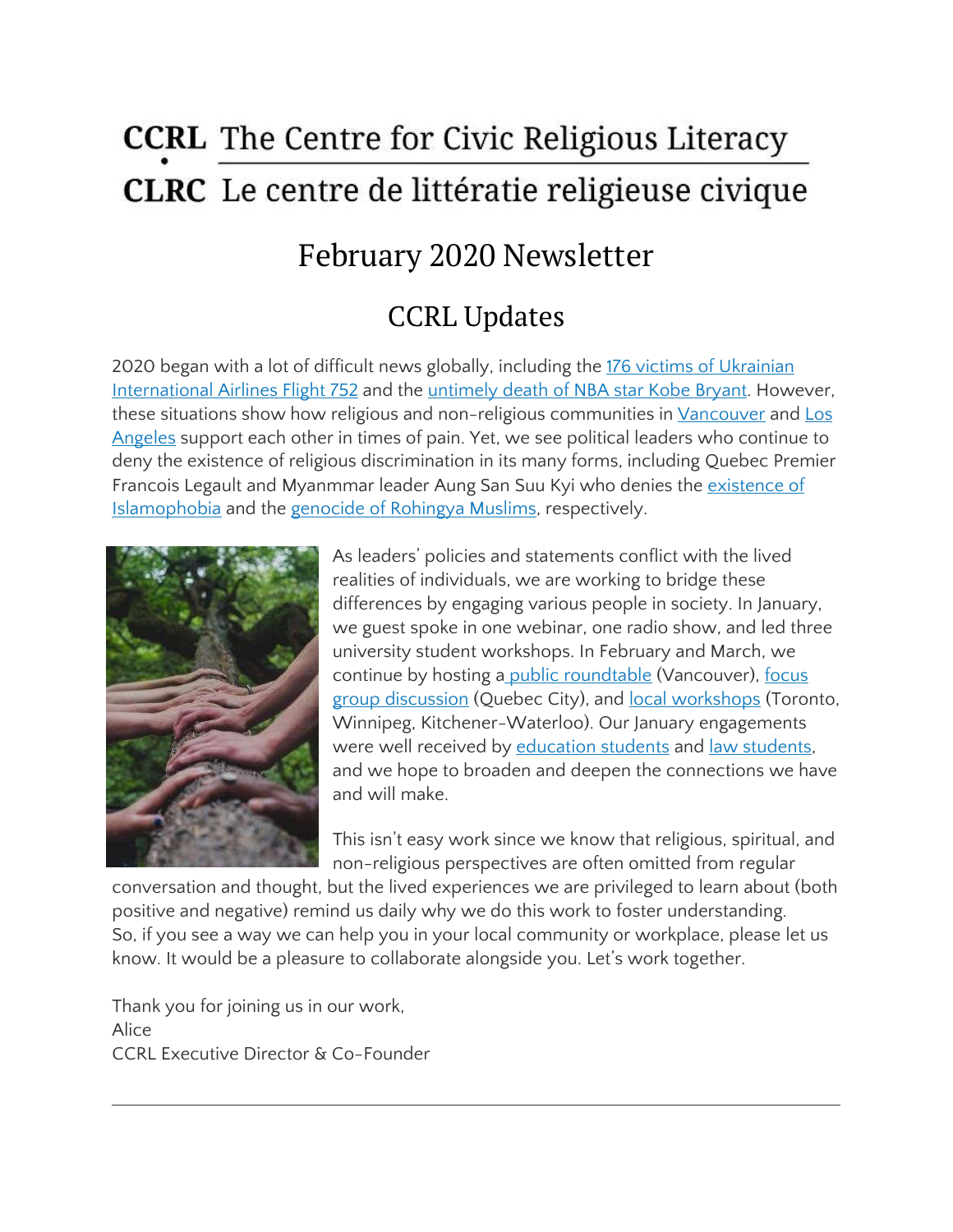# **CCRL** The Centre for Civic Religious Literacy **CLRC** Le centre de littératie religieuse civique

# February 2020 Newsletter

## CCRL Updates

2020 began with a lot of difficult news globally, including the 176 victims of [Ukrainian](https://www.macleans.ca/society/walking-in-the-footsteps-of-the-victims-of-flight-752/) [International](https://www.macleans.ca/society/walking-in-the-footsteps-of-the-victims-of-flight-752/) Airlines Flight 752 and the [untimely](https://www.nytimes.com/2020/01/30/sports/kobe-bryant-crash-site.html) death of NBA star Kobe Bryant. However, these situations show how religious and non-religious communities in [Vancouver](https://www.macleans.ca/society/walking-in-the-footsteps-of-the-victims-of-flight-752/) and [Los](https://www.nytimes.com/2020/01/30/sports/kobe-bryant-crash-site.html) [Angeles](https://www.nytimes.com/2020/01/30/sports/kobe-bryant-crash-site.html) support each other in times of pain. Yet, we see political leaders who continue to deny the existence of religious discrimination in its many forms, including Quebec Premier Francois Legault and Myanmmar leader Aung San Suu Kyi who denies the [existence](https://montrealgazette.com/news/quebec/mnas-slam-trolls-who-spread-anti-muslim-hate-on-legaults-facebook-page) of [Islamophobia](https://montrealgazette.com/news/quebec/mnas-slam-trolls-who-spread-anti-muslim-hate-on-legaults-facebook-page) and the genocide of [Rohingya](https://theconversation.com/preventing-genocide-in-myanmar-court-order-tries-to-protect-rohingya-muslims-where-politics-has-failed-130530?utm_medium=email&utm_campaign=Latest%20from%20The%20Conversation%20for%20January%2031%202020%20-%201523414522&utm_content=Latest%20from%20The%20Conversation%20for%20January%2031%202020%20-%201523414522+CID_d3e9cbda007dc2df1f65ed6b5e62f1e5&utm_source=campaign_monitor_global&utm_term=Preventing%20genocide%20in%20Myanmar%20Court%20order%20tries%20to%20protect%20Rohingya%20Muslims%20where%20politics%20has%20failed) Muslims, respectively.



As leaders' policies and statements conflict with the lived realities of individuals, we are working to bridge these differences by engaging various people in society. In January, we guest spoke in one webinar, one radio show, and led three university student workshops. In February and March, we continue by hosting a public [roundtable](https://ccrl-clrc.ca/our-presentations/) (Vancouver), [focus](https://ccrl-clrc.ca/our-presentations/) group [discussion](https://ccrl-clrc.ca/our-presentations/) (Quebec City), and local [workshops](https://ccrl-clrc.ca/our-presentations/) (Toronto, Winnipeg, Kitchener-Waterloo). Our January engagements were well received by [education](https://ccrl-clrc.ca/012720-workshop/) students and law [students,](https://ccrl-clrc.ca/012220-workshop/) and we hope to broaden and deepen the connections we have and will make.

This isn't easy work since we know that religious, spiritual, and non-religious perspectives are often omitted from regular

conversation and thought, but the lived experiences we are privileged to learn about (both positive and negative) remind us daily why we do this work to foster understanding. So, if you see a way we can help you in your local community or workplace, please let us know. It would be a pleasure to collaborate alongside you. Let's work together.

Thank you for joining us in our work, Alice CCRL Executive Director & Co-Founder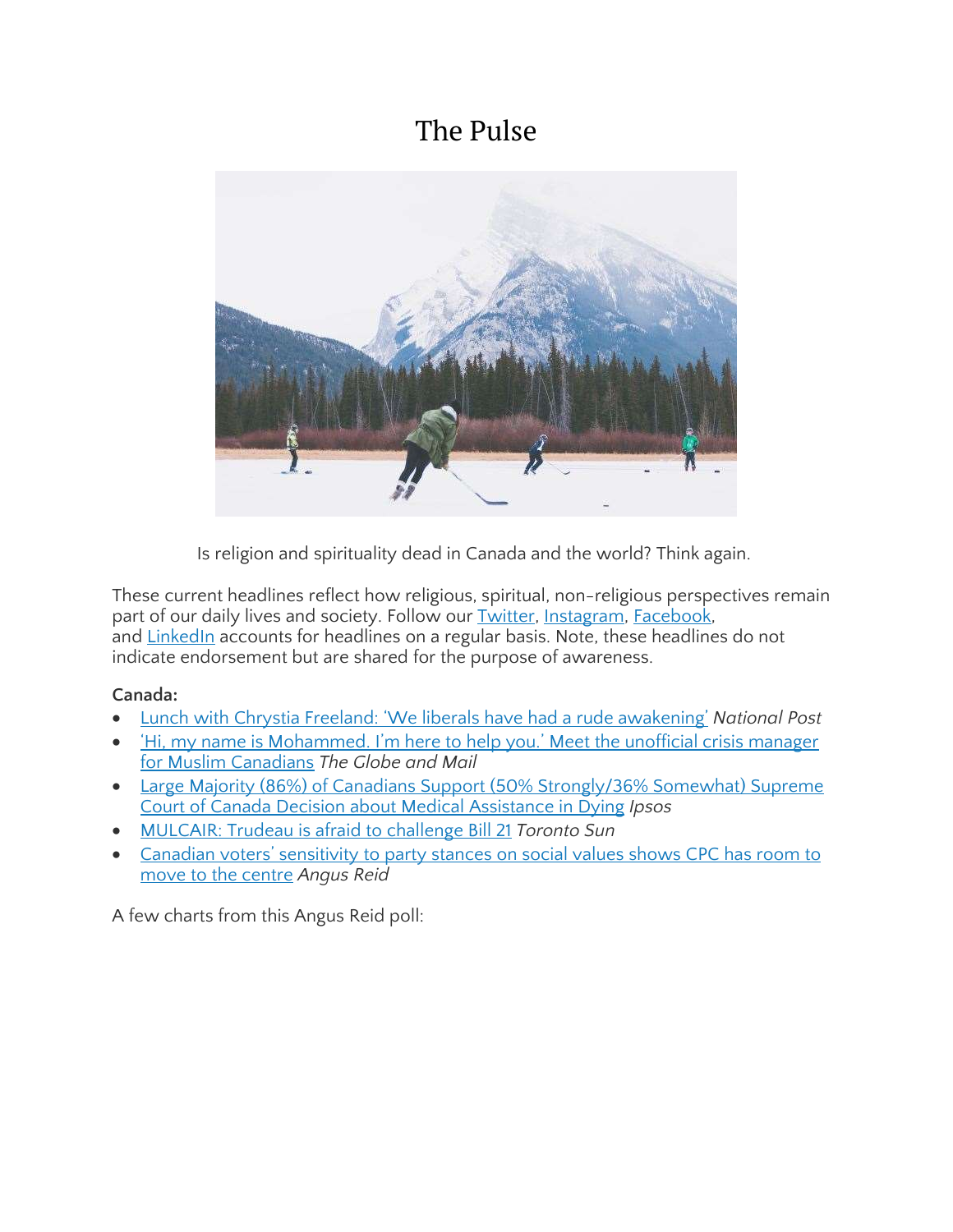### The Pulse



Is religion and spirituality dead in Canada and the world? Think again.

These current headlines reflect how religious, spiritual, non-religious perspectives remain part of our daily lives and society. Follow our **Twitter**, [Instagram,](https://www.instagram.com/ccrl.clrc/) [Facebook,](https://www.facebook.com/The-Centre-for-Civic-Religious-Literacy-2033697073383562/) and [LinkedIn](https://www.linkedin.com/company/ccrl-clrc/) accounts for headlines on a regular basis. Note, these headlines do not indicate endorsement but are shared for the purpose of awareness.

#### **Canada:**

- Lunch with Chrystia Freeland: 'We liberals have had a rude [awakening'](https://nationalpost.com/news/canada/lunch-with-chrystia-freeland-we-liberals-have-had-a-rude-awakening?utm_source=Facebook&utm_medium=organic_fb_tw&utm_campaign=broadsheet_promo&fbclid=IwAR32vLzKh1fZ2HwPqNh2tXwFmv3GZibgHua2P1kO8gHqZPgNDw_vEJDb_qc) *National Post*
- Hi, my name is [Mohammed.](https://www.theglobeandmail.com/canada/article-hi-my-name-is-mohammed-im-here-to-help-you-meet-muslim-canadians/) I'm here to help you.' Meet the unofficial crisis manager for Muslim [Canadians](https://www.theglobeandmail.com/canada/article-hi-my-name-is-mohammed-im-here-to-help-you-meet-muslim-canadians/) *The Globe and Mail*
- Large Majority (86%) of Canadians Support (50% [Strongly/36%](https://www.ipsos.com/en-ca/news-polls/Attitudes_Towards_MAID-2020-02-06) Somewhat) Supreme Court of Canada Decision about Medical [Assistance](https://www.ipsos.com/en-ca/news-polls/Attitudes_Towards_MAID-2020-02-06) in Dying *Ipsos*
- [MULCAIR:](https://torontosun.com/opinion/columnists/mulcair-trudeau-is-afraid-to-challenge-bill-21) Trudeau is afraid to challenge Bill 21 *Toronto Sun*
- Canadian voters' [sensitivity](http://angusreid.org/values-and-voting/) to party stances on social values shows CPC has room to move to the [centre](http://angusreid.org/values-and-voting/) *Angus Reid*

A few charts from this Angus Reid poll: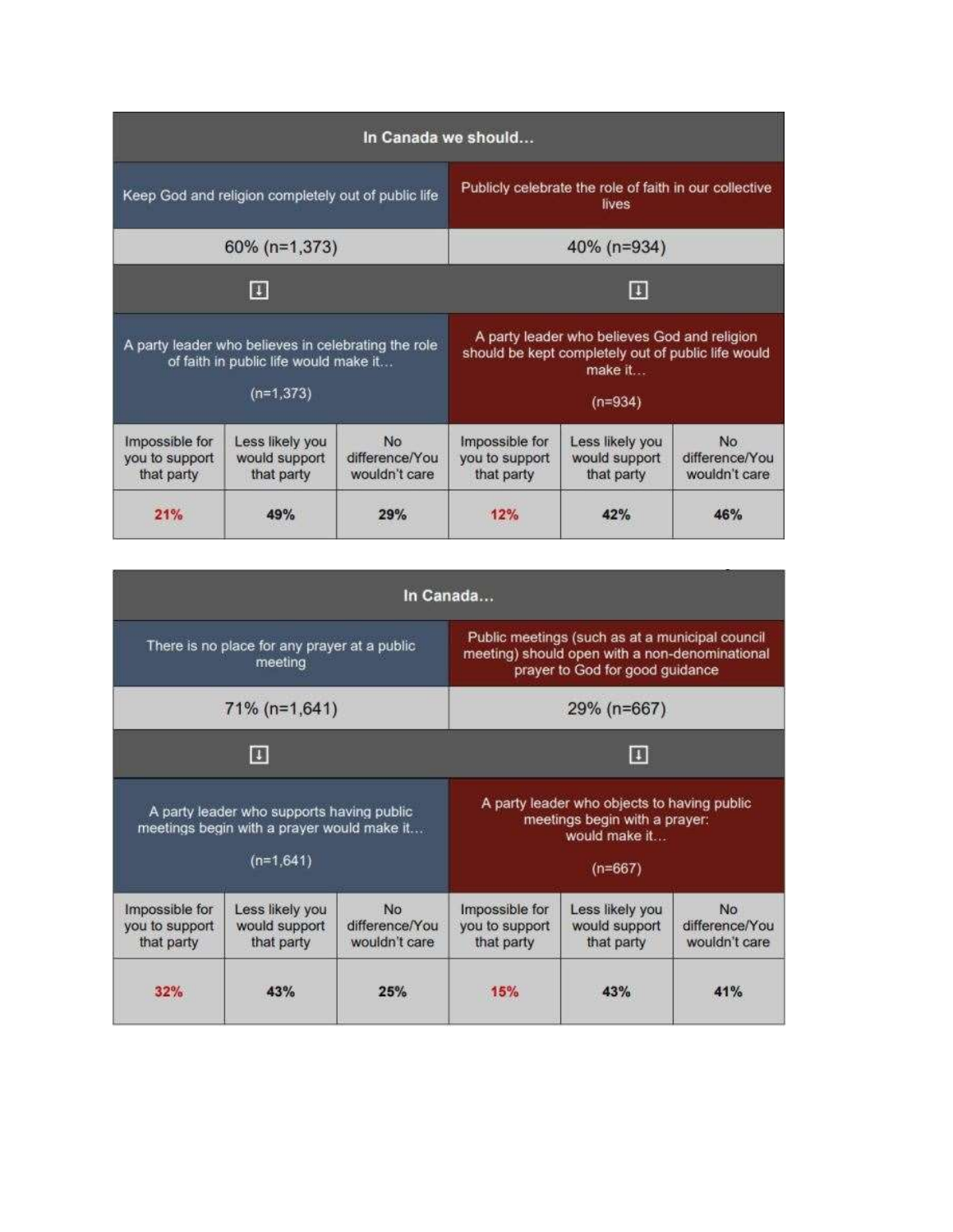| In Canada we should                                                                                         |                                                |                                              |                                                                                                                            |                                                |                                        |  |  |
|-------------------------------------------------------------------------------------------------------------|------------------------------------------------|----------------------------------------------|----------------------------------------------------------------------------------------------------------------------------|------------------------------------------------|----------------------------------------|--|--|
| Keep God and religion completely out of public life                                                         |                                                |                                              | Publicly celebrate the role of faith in our collective<br>lives                                                            |                                                |                                        |  |  |
| 60% (n=1,373)                                                                                               |                                                |                                              | 40% (n=934)                                                                                                                |                                                |                                        |  |  |
| 圓                                                                                                           |                                                |                                              | E                                                                                                                          |                                                |                                        |  |  |
| A party leader who believes in celebrating the role<br>of faith in public life would make it<br>$(n=1,373)$ |                                                |                                              | A party leader who believes God and religion<br>should be kept completely out of public life would<br>make it<br>$(n=934)$ |                                                |                                        |  |  |
| Impossible for<br>you to support<br>that party                                                              | Less likely you<br>would support<br>that party | <b>No</b><br>difference/You<br>wouldn't care | Impossible for<br>you to support<br>that party                                                                             | Less likely you<br>would support<br>that party | No.<br>difference/You<br>wouldn't care |  |  |
| 21%                                                                                                         | 49%                                            | 29%                                          | 12%                                                                                                                        | 42%                                            | 16%                                    |  |  |

|                                                                                                        |                                                |                                       | In Canada                                                                                                                            |                                                |                                              |
|--------------------------------------------------------------------------------------------------------|------------------------------------------------|---------------------------------------|--------------------------------------------------------------------------------------------------------------------------------------|------------------------------------------------|----------------------------------------------|
| There is no place for any prayer at a public<br>meeting                                                |                                                |                                       | Public meetings (such as at a municipal council<br>meeting) should open with a non-denominational<br>prayer to God for good guidance |                                                |                                              |
| 71% (n=1,641)                                                                                          |                                                |                                       | 29% (n=667)                                                                                                                          |                                                |                                              |
| 四                                                                                                      |                                                |                                       | E                                                                                                                                    |                                                |                                              |
| A party leader who supports having public<br>meetings begin with a prayer would make it<br>$(n=1.641)$ |                                                |                                       | A party leader who objects to having public<br>meetings begin with a prayer:<br>would make it<br>$(n=667)$                           |                                                |                                              |
| Impossible for<br>you to support<br>that party                                                         | Less likely you<br>would support<br>that party | No<br>difference/You<br>wouldn't care | Impossible for<br>you to support<br>that party                                                                                       | Less likely you<br>would support<br>that party | <b>No</b><br>difference/You<br>wouldn't care |
| 32%                                                                                                    | 43%                                            | 25%                                   | 15%                                                                                                                                  | 43%                                            | 41%                                          |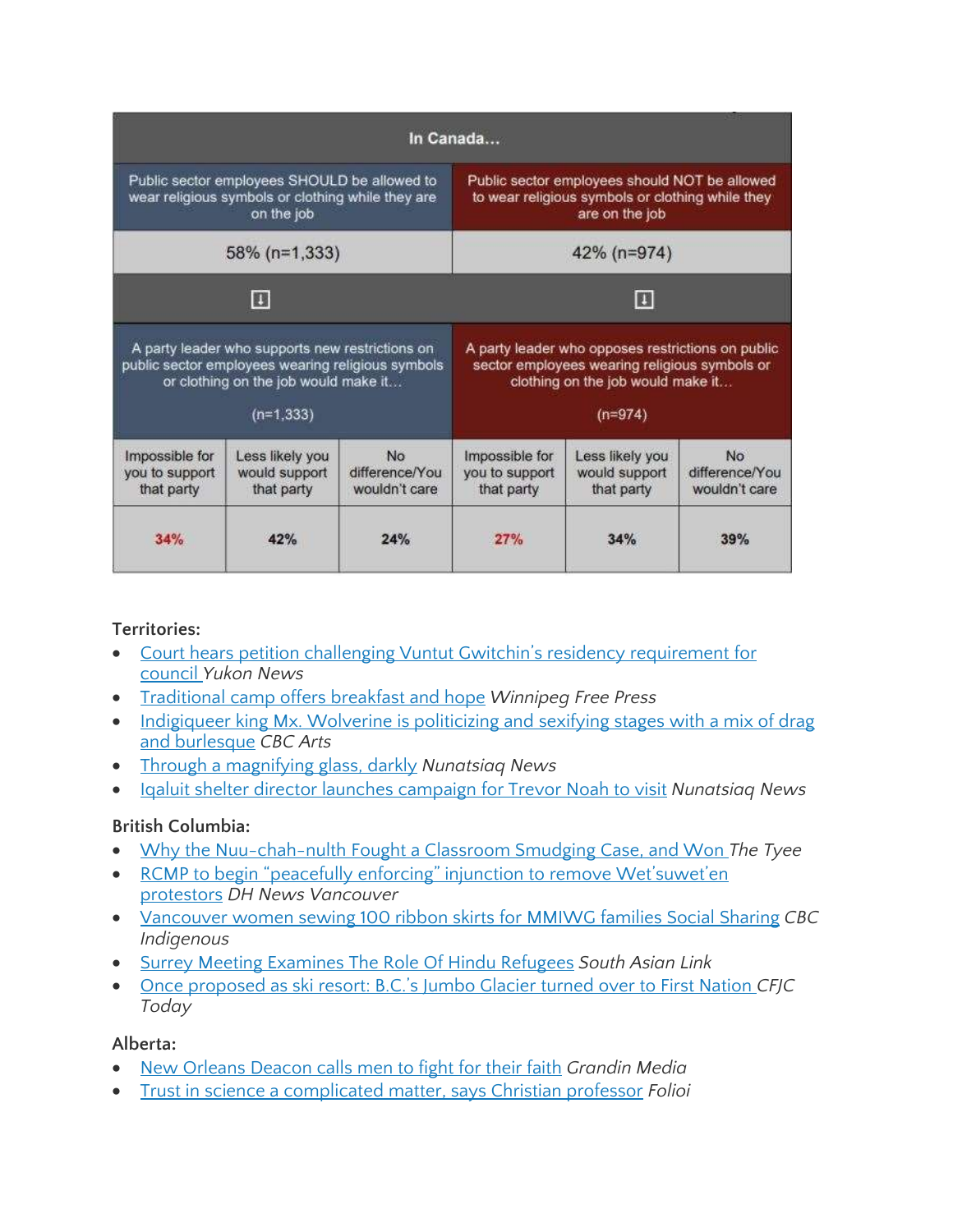|                                                                                                                                                             |                                                |                                              | In Canada                                                                                                                                            |                                                |                                              |
|-------------------------------------------------------------------------------------------------------------------------------------------------------------|------------------------------------------------|----------------------------------------------|------------------------------------------------------------------------------------------------------------------------------------------------------|------------------------------------------------|----------------------------------------------|
| Public sector employees SHOULD be allowed to<br>wear religious symbols or clothing while they are<br>on the job                                             |                                                |                                              | Public sector employees should NOT be allowed<br>to wear religious symbols or clothing while they<br>are on the job                                  |                                                |                                              |
| 58% (n=1,333)                                                                                                                                               |                                                |                                              | 42% (n=974)                                                                                                                                          |                                                |                                              |
| B                                                                                                                                                           |                                                |                                              | E                                                                                                                                                    |                                                |                                              |
| A party leader who supports new restrictions on<br>public sector employees wearing religious symbols<br>or clothing on the job would make it<br>$(n=1,333)$ |                                                |                                              | A party leader who opposes restrictions on public<br>sector employees wearing religious symbols or<br>clothing on the job would make it<br>$(n=974)$ |                                                |                                              |
| Impossible for<br>you to support<br>that party                                                                                                              | Less likely you<br>would support<br>that party | <b>No</b><br>difference/You<br>wouldn't care | Impossible for<br>you to support<br>that party                                                                                                       | Less likely you<br>would support<br>that party | <b>No</b><br>difference/You<br>wouldn't care |
| 34%                                                                                                                                                         | 12%                                            | 24%                                          | 27%                                                                                                                                                  | 34%                                            | 39%                                          |

#### **Territories:**

- Court hears petition challenging Vuntut Gwitchin's residency [requirement](https://www.yukon-news.com/news/court-hears-petition-challenging-vuntut-gwitchins-residency-requirement-for-council/) for [council](https://www.yukon-news.com/news/court-hears-petition-challenging-vuntut-gwitchins-residency-requirement-for-council/) *Yukon News*
- [Traditional](https://www.winnipegfreepress.com/local/traditional-camp-offers-breakfast-and-hope-567474662.html) camp offers breakfast and hope *Winnipeg Free Press*
- [Indigiqueer](https://www.cbc.ca/arts/indigiqueer-king-mx-wolverine-is-politicizing-and-sexifying-stages-with-a-mix-of-drag-and-burlesque-1.5450319) king Mx. Wolverine is politicizing and sexifying stages with a mix of drag and [burlesque](https://www.cbc.ca/arts/indigiqueer-king-mx-wolverine-is-politicizing-and-sexifying-stages-with-a-mix-of-drag-and-burlesque-1.5450319) *CBC Arts*
- Through a [magnifying](https://nunatsiaq.com/stories/article/through-a-magnifying-glass-darkly/) glass, darkly *Nunatsiaq News*
- Iqaluit shelter director launches [campaign](https://nunatsiaq.com/stories/article/iqaluit-shelter-director-launchs-compaign-for-trevor-noah-to-visit/) for Trevor Noah to visit *Nunatsiaq News*

#### **British Columbia:**

- Why the [Nuu-chah-nulth](https://thetyee.ca/Analysis/2020/01/09/Classroom-Smudging-Case-Indigenous-Culture-In-Schools/) Fought a Classroom Smudging Case, and Won *The Tyee*
- RCMP to begin "peacefully enforcing" injunction to remove [Wet'suwet'en](https://dailyhive.com/vancouver/rcmp-injunction-wetsuweten-territory) [protestors](https://dailyhive.com/vancouver/rcmp-injunction-wetsuweten-territory) *DH News Vancouver*
- [Vancouver](https://www.cbc.ca/news/indigenous/vancouver-mmiwg-ribbon-skirts-1.5450095) women sewing 100 ribbon skirts for MMIWG families Social Sharing *CBC Indigenous*
- Surrey Meeting [Examines](http://thelinkpaper.ca/?p=79030) The Role Of Hindu Refugees *South Asian Link*
- Once [proposed](https://cfjctoday.com/2020/01/18/once-proposed-as-ski-resort-b-c-s-jumbo-glacier-turned-over-to-first-nation/) as ski resort: B.C.'s Jumbo Glacier turned over to First Nation *CFJC Today*

#### **Alberta:**

- New [Orleans](https://grandinmedia.ca/new-orleans-deacon-calls-men-to-fight-for-their-faith/) Deacon calls men to fight for their faith *Grandin Media*
- Trust in science a [complicated](https://www.folio.ca/trust-in-science-a-complicated-matter-says-christian-professor/) matter, says Christian professor *Folioi*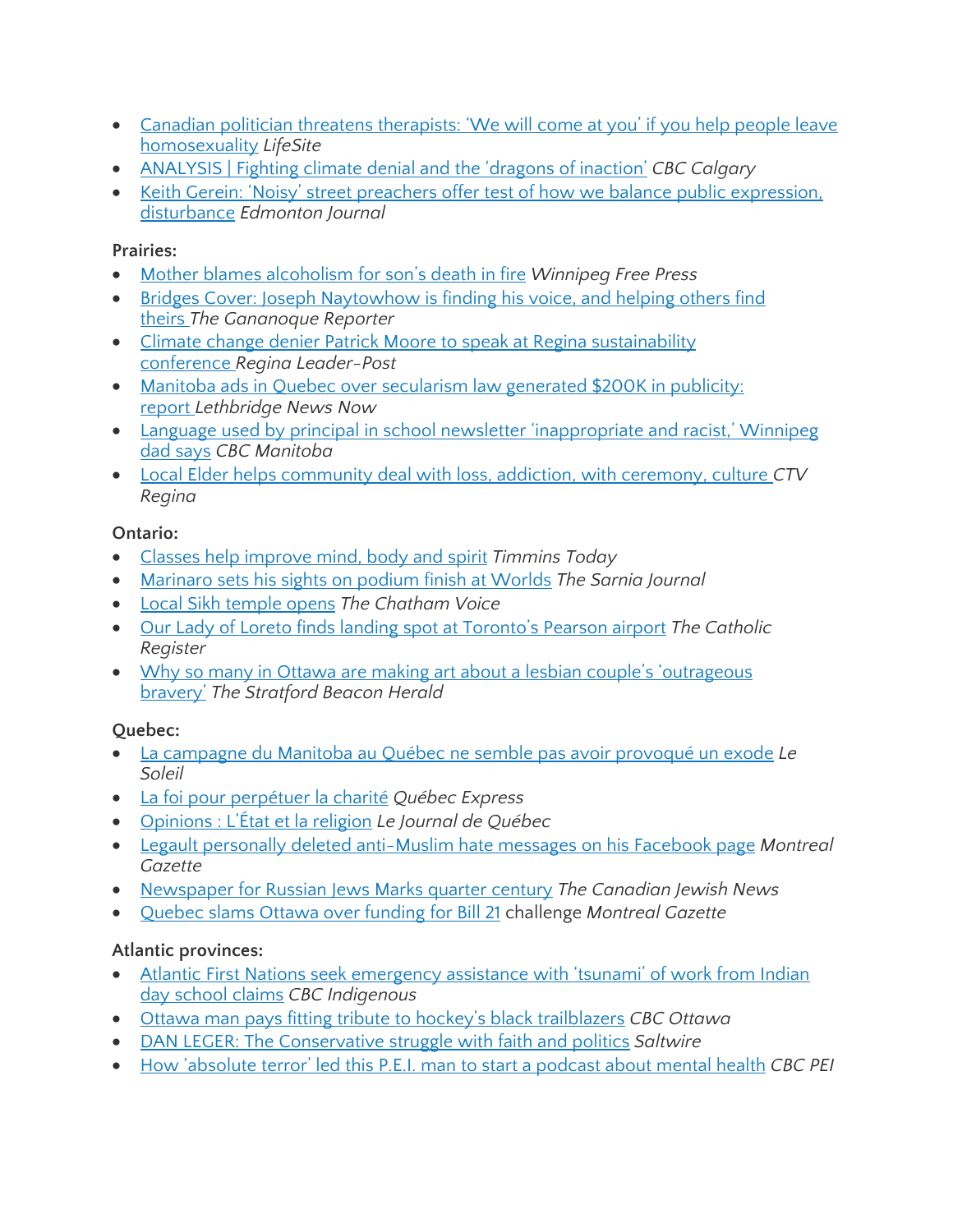- Canadian politician threatens [therapists:](https://www.lifesitenews.com/news/pro-lgbt-politician-threatens-conversion-therapy-practitioners-we-will-come-at-you) 'We will come at you' if you help people leave [homosexuality](https://www.lifesitenews.com/news/pro-lgbt-politician-threatens-conversion-therapy-practitioners-we-will-come-at-you) *LifeSite*
- [ANALYSIS](https://www.cbc.ca/news/canada/calgary/climate-denial-psychology-stoknes-kahneman-gifford-1.5447521) | Fighting climate denial and the 'dragons of inaction' *CBC Calgary*
- Keith Gerein: 'Noisy' street preachers offer test of how we balance public [expression,](https://edmontonjournal.com/news/local-news/keith-gerein-noisy-street-preachers-offer-test-of-how-we-balance-public-expression-disturbance) [disturbance](https://edmontonjournal.com/news/local-news/keith-gerein-noisy-street-preachers-offer-test-of-how-we-balance-public-expression-disturbance) *Edmonton Journal*

#### **Prairies:**

- Mother blames [alcoholism](https://www.winnipegfreepress.com/local/mother-blames-alcoholism-for-sons-death-in-fire-567533942.html) for son's death in fire *Winnipeg Free Press*
- Bridges Cover: Joseph [Naytowhow](https://www.gananoquereporter.com/news/local-news/bridges-cover-joseph-naytowhow/wcm/e6fb2e58-85b9-421e-b39b-2ad190cbd390) is finding his voice, and helping others find [theirs](https://www.gananoquereporter.com/news/local-news/bridges-cover-joseph-naytowhow/wcm/e6fb2e58-85b9-421e-b39b-2ad190cbd390) *The Gananoque Reporter*
- Climate change denier Patrick Moore to speak at Regina [sustainability](https://leaderpost.com/news/local-news/climate-change-denier-patrick-moore-to-speak-at-regina-sustainability-conference) [conference](https://leaderpost.com/news/local-news/climate-change-denier-patrick-moore-to-speak-at-regina-sustainability-conference) *Regina Leader-Post*
- Manitoba ads in Quebec over [secularism](https://lethbridgenewsnow.com/2020/02/07/manitoba-ads-in-quebec-over-secularism-law-generated-200k-in-publicity-report/) law generated \$200K in publicity: [report](https://lethbridgenewsnow.com/2020/02/07/manitoba-ads-in-quebec-over-secularism-law-generated-200k-in-publicity-report/) *Lethbridge News Now*
- Language used by principal in school newsletter ['inappropriate](https://www.cbc.ca/news/canada/manitoba/winnipeg-calvin-christian-school-offensive-language-1.5453777) and racist,' Winnipeg dad [says](https://www.cbc.ca/news/canada/manitoba/winnipeg-calvin-christian-school-offensive-language-1.5453777) *CBC Manitoba*
- Local Elder helps [community](https://regina.ctvnews.ca/local-elder-helps-community-deal-with-loss-addiction-with-ceremony-culture-1.4793002) deal with loss, addiction, with ceremony, culture *CTV Regina*

#### **Ontario:**

- Classes help [improve](https://www.timminstoday.com/whats-up-wednesday/classes-help-improve-mind-body-and-spirit-2071248) mind, body and spirit *Timmins Today*
- [Marinaro](https://thesarniajournal.ca/marinaro-sets-his-sights-on-podium-finish-at-worlds/) sets his sights on podium finish at Worlds *The Sarnia Journal*
- Local Sikh [temple](https://chathamvoice.com/2020/02/05/local-sikh-temple-opens/) opens *The Chatham Voice*
- Our Lady of Loreto finds landing spot at [Toronto's](https://www.catholicregister.org/item/31103-our-lady-of-loreto-finds-landing-spot-at-toronto-s-pearson-airport) Pearson airport *The Catholic Register*
- Why so many in Ottawa are making art about a lesbian couple's ['outrageous](https://www.stratfordbeaconherald.com/entertainment/local-arts/why-so-many-in-ottawa-are-making-art-about-a-lesbian-couples-outrageous-bravery/wcm/a099e236-5b62-4012-81ce-c3a0c31a1c97)' [bravery'](https://www.stratfordbeaconherald.com/entertainment/local-arts/why-so-many-in-ottawa-are-making-art-about-a-lesbian-couples-outrageous-bravery/wcm/a099e236-5b62-4012-81ce-c3a0c31a1c97) *The Stratford Beacon Herald*

#### **Quebec:**

- La [campagne](https://www.lesoleil.com/actualite/la-campagne-du-manitoba-au-quebec-ne-semble-pas-avoir-provoque-un-exode-d04bb3a80374b7eacd3026cc5ac644a4) du Manitoba au Québec ne semble pas avoir provoqué un exode *Le Soleil*
- La foi pour [perpétuer](https://www.quebechebdo.com/local/journal-le-quebec-express/196554/la-foi-pour-perpetuer-la-charite/) la charité *Québec Express*
- [Opinions](https://www.journaldequebec.com/2020/02/02/letat-et-la-religion) : L'État et la religion *Le Journal de Québec*
- Legault personally deleted [anti-Muslim](https://montrealgazette.com/news/quebec/mnas-slam-trolls-who-spread-anti-muslim-hate-on-legaults-facebook-page) hate messages on his Facebook page *Montreal Gazette*
- [Newspaper](https://www.cjnews.com/news/canada/newspaper-for-russian-jews-marks-quarter-century) for Russian Jews Marks quarter century *The Canadian Jewish News*
- [Quebec](https://montrealgazette.com/news/local-news/emsb-receiving-250000-from-ottawa-for-high-profile-court-challenges) slams Ottawa over funding for Bill 21 challenge *Montreal Gazette*

#### **Atlantic provinces:**

- Atlantic First Nations seek [emergency](https://www.cbc.ca/news/indigenous/indian-day-school-claims-emergency-support-1.5451893) assistance with 'tsunami' of work from Indian day [school](https://www.cbc.ca/news/indigenous/indian-day-school-claims-emergency-support-1.5451893) claims *CBC Indigenous*
- Ottawa man pays fitting tribute to hockey's black [trailblazers](https://www.cbc.ca/news/canada/ottawa/coloured-hockey-league-maritimes-stamp-ottawa-1.5449685) *CBC Ottawa*
- DAN LEGER: The [Conservative](https://www.saltwire.com/opinion/local-perspectives/dan-leger-the-conservative-struggle-with-faith-and-politics-405309/) struggle with faith and politics *Saltwire*
- How ['absolute](https://www.cbc.ca/news/canada/prince-edward-island/pei-mental-health-podcast-jan-2020-1.5427496) terror' led this P.E.I. man to start a podcast about mental health *CBC PEI*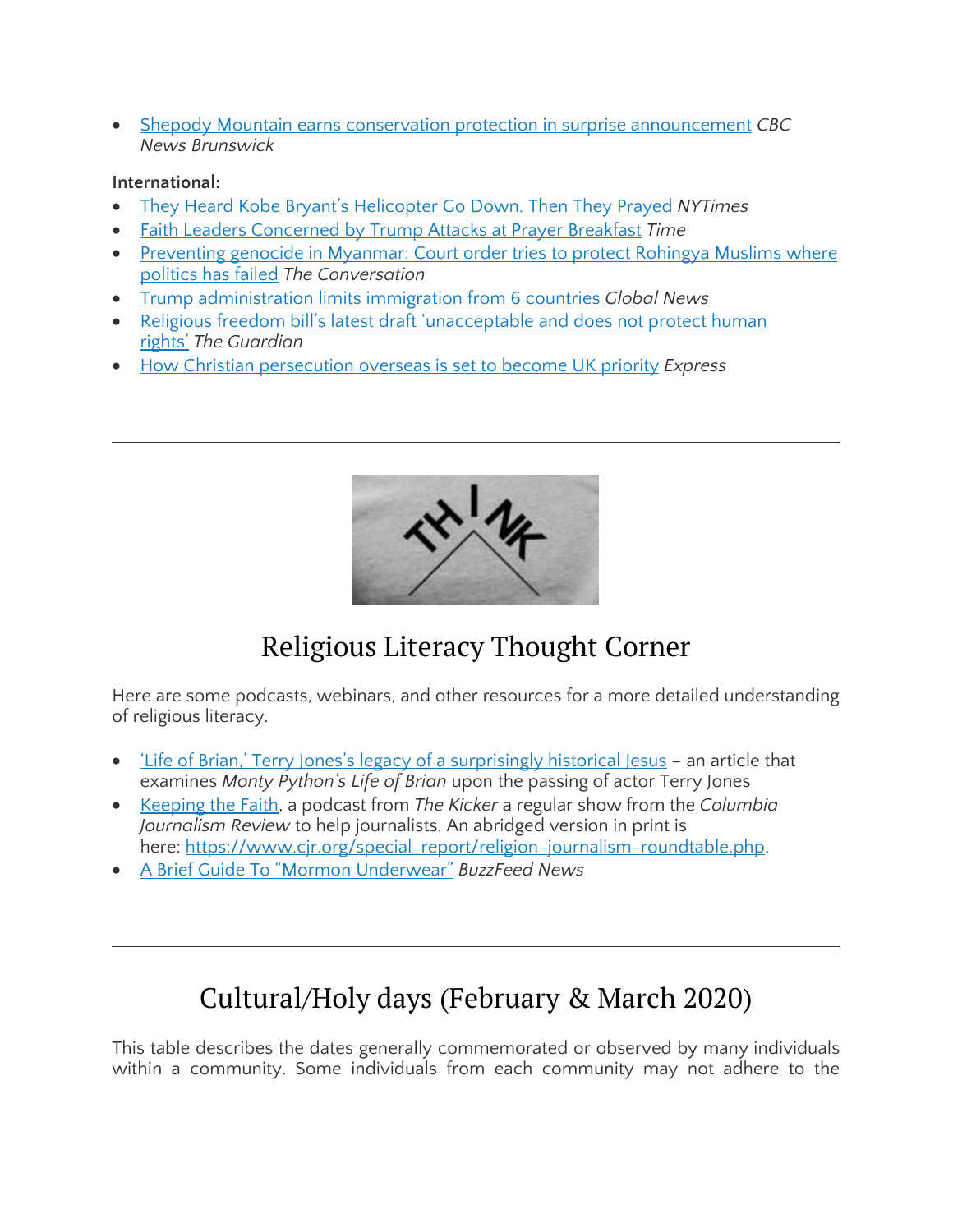Shepody Mountain earns conservation protection in surprise [announcement](https://www.cbc.ca/news/canada/new-brunswick/shepody-mountain-conservation-protection-1.5422258) *CBC News Brunswick*

#### **International:**

- They Heard Kobe Bryant's [Helicopter](https://www.nytimes.com/2020/01/30/sports/kobe-bryant-crash-site.html) Go Down. Then They Prayed *NYTimes*
- Faith Leaders [Concerned](https://time.com/5779538/trump-national-prayer-breakfast-politics/) by Trump Attacks at Prayer Breakfast *Time*
- [Preventing](https://theconversation.com/preventing-genocide-in-myanmar-court-order-tries-to-protect-rohingya-muslims-where-politics-has-failed-130530?utm_medium=email&utm_campaign=Latest%20from%20The%20Conversation%20for%20January%2031%202020%20-%201523414522&utm_content=Latest%20from%20The%20Conversation%20for%20January%2031%202020%20-%201523414522+CID_d3e9cbda007dc2df1f65ed6b5e62f1e5&utm_source=campaign_monitor_global&utm_term=Preventing%20genocide%20in%20Myanmar%20Court%20order%20tries%20to%20protect%20Rohingya%20Muslims%20where%20politics%20has%20failed) genocide in Myanmar: Court order tries to protect Rohingya Muslims where [politics](https://theconversation.com/preventing-genocide-in-myanmar-court-order-tries-to-protect-rohingya-muslims-where-politics-has-failed-130530?utm_medium=email&utm_campaign=Latest%20from%20The%20Conversation%20for%20January%2031%202020%20-%201523414522&utm_content=Latest%20from%20The%20Conversation%20for%20January%2031%202020%20-%201523414522+CID_d3e9cbda007dc2df1f65ed6b5e62f1e5&utm_source=campaign_monitor_global&utm_term=Preventing%20genocide%20in%20Myanmar%20Court%20order%20tries%20to%20protect%20Rohingya%20Muslims%20where%20politics%20has%20failed) has failed *The Conversation*
- Trump [administration](https://globalnews.ca/news/6490912/trump-immigration-limits-countries/) limits immigration from 6 countries *Global News*
- Religious freedom bill's latest draft ['unacceptable](https://www.theguardian.com/world/2020/feb/01/religious-freedom-bills-latest-draft-unacceptable-and-does-not-protect-human-rights) and does not protect human [rights'](https://www.theguardian.com/world/2020/feb/01/religious-freedom-bills-latest-draft-unacceptable-and-does-not-protect-human-rights) *The Guardian*
- How Christian [persecution](https://www.express.co.uk/news/uk/1236790/christian-persecution-UK-foreign-policy-priority-desmond-swain-christianity-crackdown) overseas is set to become UK priority *Express*



# Religious Literacy Thought Corner

Here are some podcasts, webinars, and other resources for a more detailed understanding of religious literacy.

- 'Life of Brian,' Terry Jones's legacy of a [surprisingly](https://theconversation.com/life-of-brian-terry-joness-legacy-of-a-surprisingly-historical-jesus-130582?utm_medium=email&utm_campaign=Latest%20from%20The%20Conversation%20for%20January%2029%202020&utm_content=Latest%20from%20The%20Conversation%20for%20January%2029%202020+CID_80ef0332b0df6ef3c75c32d28b862257&utm_source=campaign_monitor_ca&utm_term=Life%20of%20Brian%20Terry%20Joness%20legacy%20of%20a%20surprisingly%20historical%20Jesus) historical Jesus an article that examines *Monty Python's Life of Brian* upon the passing of actor Terry Jones
- [Keeping](https://www.cjr.org/podcast/podcast-keeping-faith-religion-journalism.php) the Faith, a podcast from *The Kicker* a regular show from the *Columbia Journalism Review* to help journalists. An abridged version in print is here: [https://www.cjr.org/special\\_report/religion-journalism-roundtable.php.](https://www.cjr.org/special_report/religion-journalism-roundtable.php)
- A Brief Guide To "Mormon [Underwear"](https://www.buzzfeednews.com/article/mckaycoppins/a-brief-guide-to-mormon-underwear) *BuzzFeed News*

## Cultural/Holy days (February & March 2020)

This table describes the dates generally commemorated or observed by many individuals within a community. Some individuals from each community may not adhere to the